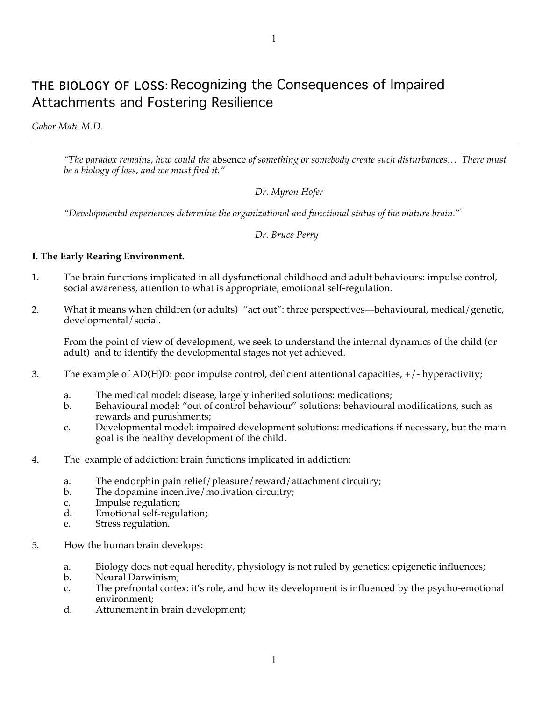# THE BIOLOGY OF LOSS: Recognizing the Consequences of Impaired Attachments and Fostering Resilience

*Gabor Maté M.D.*

*"The paradox remains, how could the* absence *of something or somebody create such disturbances… There must be a biology of loss, and we must find it."*

### *Dr. Myron Hofer*

*"Developmental experiences determine the organizational and functional status of the mature brain.*"<sup>i</sup>

### *Dr. Bruce Perry*

### **I. The Early Rearing Environment.**

- 1. The brain functions implicated in all dysfunctional childhood and adult behaviours: impulse control, social awareness, attention to what is appropriate, emotional self-regulation.
- 2. What it means when children (or adults) "act out": three perspectives—behavioural, medical/genetic, developmental/social.

From the point of view of development, we seek to understand the internal dynamics of the child (or adult) and to identify the developmental stages not yet achieved.

- 3. The example of AD(H)D: poor impulse control, deficient attentional capacities, +/- hyperactivity;
	- a. The medical model: disease, largely inherited solutions: medications;
	- b. Behavioural model: "out of control behaviour" solutions: behavioural modifications, such as rewards and punishments;
	- c. Developmental model: impaired development solutions: medications if necessary, but the main goal is the healthy development of the child.
- 4. The example of addiction: brain functions implicated in addiction:
	- a. The endorphin pain relief/pleasure/reward/attachment circuitry;
	- b. The dopamine incentive/motivation circuitry;
	- c. Impulse regulation;
	- d. Emotional self-regulation;
	- e. Stress regulation.
- 5. How the human brain develops:
	- a. Biology does not equal heredity, physiology is not ruled by genetics: epigenetic influences;
	- b. Neural Darwinism;
	- c. The prefrontal cortex: it's role, and how its development is influenced by the psycho-emotional environment;
	- d. Attunement in brain development;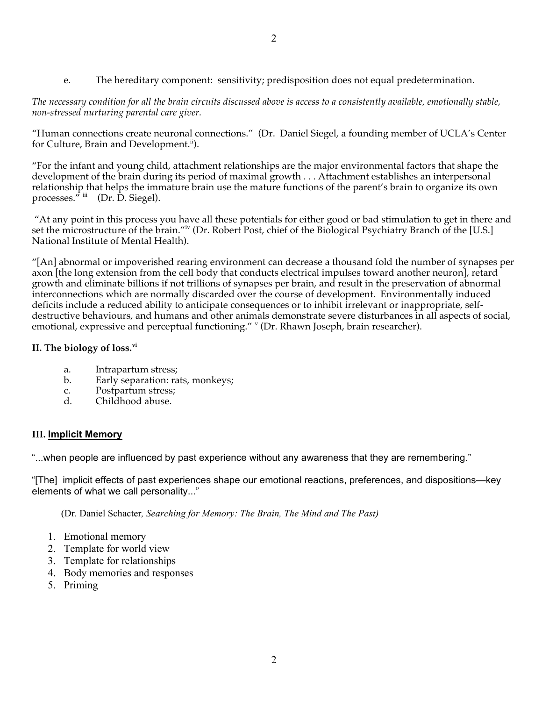*The necessary condition for all the brain circuits discussed above is access to a consistently available, emotionally stable, non-stressed nurturing parental care giver.*

"Human connections create neuronal connections." (Dr. Daniel Siegel, a founding member of UCLA's Center for Culture, Brain and Development.<sup>ii</sup>).

"For the infant and young child, attachment relationships are the major environmental factors that shape the development of the brain during its period of maximal growth . . . Attachment establishes an interpersonal relationship that helps the immature brain use the mature functions of the parent's brain to organize its own processes."  $\ddot{m}$  (Dr. D. Siegel).

"At any point in this process you have all these potentials for either good or bad stimulation to get in there and set the microstructure of the brain."iv (Dr. Robert Post, chief of the Biological Psychiatry Branch of the [U.S.] National Institute of Mental Health).

"[An] abnormal or impoverished rearing environment can decrease a thousand fold the number of synapses per axon [the long extension from the cell body that conducts electrical impulses toward another neuron], retard growth and eliminate billions if not trillions of synapses per brain, and result in the preservation of abnormal interconnections which are normally discarded over the course of development. Environmentally induced deficits include a reduced ability to anticipate consequences or to inhibit irrelevant or inappropriate, selfdestructive behaviours, and humans and other animals demonstrate severe disturbances in all aspects of social, emotional, expressive and perceptual functioning." v (Dr. Rhawn Joseph, brain researcher).

# **II. The biology of loss. vi**

- a. Intrapartum stress;<br>b. Early separation: ra
- Early separation: rats, monkeys;
- c. Postpartum stress;
- d. Childhood abuse.

# **III. Implicit Memory**

"...when people are influenced by past experience without any awareness that they are remembering."

"[The] implicit effects of past experiences shape our emotional reactions, preferences, and dispositions—key elements of what we call personality..."

(Dr. Daniel Schacter*, Searching for Memory: The Brain, The Mind and The Past)*

- 1. Emotional memory
- 2. Template for world view
- 3. Template for relationships
- 4. Body memories and responses
- 5. Priming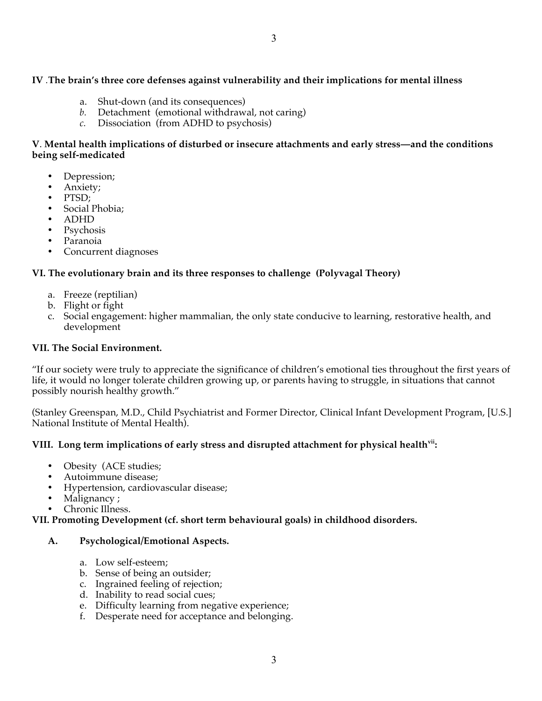# **IV** *.***The brain's three core defenses against vulnerability and their implications for mental illness**

- a. Shut-down (and its consequences)
- *b.* Detachment (emotional withdrawal, not caring)
- *c.* Dissociation (from ADHD to psychosis)

# **V**. **Mental health implications of disturbed or insecure attachments and early stress—and the conditions being self-medicated**

- Depression;
- Anxiety;
- PTSD;
- Social Phobia;
- ADHD
- Psychosis
- Paranoia
- Concurrent diagnoses

# **VI. The evolutionary brain and its three responses to challenge (Polyvagal Theory)**

- a. Freeze (reptilian)
- b. Flight or fight
- c. Social engagement: higher mammalian, the only state conducive to learning, restorative health, and development

# **VII. The Social Environment.**

"If our society were truly to appreciate the significance of children's emotional ties throughout the first years of life, it would no longer tolerate children growing up, or parents having to struggle, in situations that cannot possibly nourish healthy growth."

(Stanley Greenspan, M.D., Child Psychiatrist and Former Director, Clinical Infant Development Program, [U.S.] National Institute of Mental Health).

# **VIII. Long term implications of early stress and disrupted attachment for physical healthvii:**

- Obesity (ACE studies;
- Autoimmune disease;
- Hypertension, cardiovascular disease;
- Malignancy ;
- Chronic Illness.

# **VII. Promoting Development (cf. short term behavioural goals) in childhood disorders.**

# **A. Psychological/Emotional Aspects.**

- a. Low self-esteem;
- b. Sense of being an outsider;
- c. Ingrained feeling of rejection;
- d. Inability to read social cues;
- e. Difficulty learning from negative experience;
- f. Desperate need for acceptance and belonging.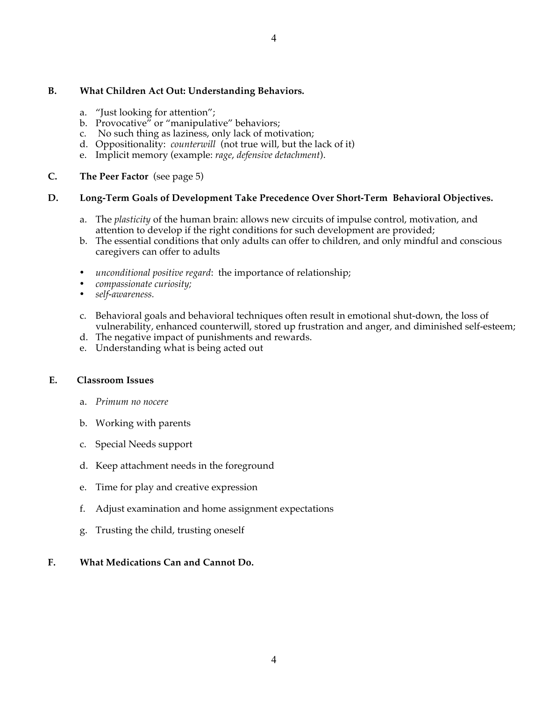### **B. What Children Act Out: Understanding Behaviors.**

- a. "Just looking for attention";
- b. Provocative<sup>"</sup> or "manipulative" behaviors;
- c. No such thing as laziness, only lack of motivation;
- d. Oppositionality: *counterwill* (not true will, but the lack of it)
- e. Implicit memory (example: *rage*, *defensive detachment*).
- **C. The Peer Factor** (see page 5)

### **D. Long-Term Goals of Development Take Precedence Over Short-Term Behavioral Objectives.**

- a. The *plasticity* of the human brain: allows new circuits of impulse control, motivation, and attention to develop if the right conditions for such development are provided;
- b. The essential conditions that only adults can offer to children, and only mindful and conscious caregivers can offer to adults
- *unconditional positive regard*: the importance of relationship;
- *compassionate curiosity;*
- *self-awareness.*
- c. Behavioral goals and behavioral techniques often result in emotional shut-down, the loss of vulnerability, enhanced counterwill, stored up frustration and anger, and diminished self-esteem;
- d. The negative impact of punishments and rewards.
- e. Understanding what is being acted out

### **E. Classroom Issues**

- a. *Primum no nocere*
- b. Working with parents
- c. Special Needs support
- d. Keep attachment needs in the foreground
- e. Time for play and creative expression
- f. Adjust examination and home assignment expectations
- g. Trusting the child, trusting oneself
- **F. What Medications Can and Cannot Do.**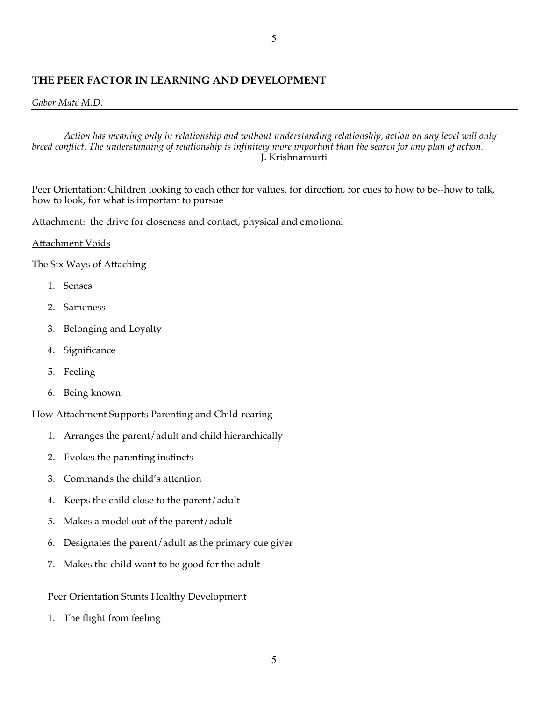# **THE PEER FACTOR IN LEARNING AND DEVELOPMENT**

### *Gabor Maté M.D.*

*Action has meaning only in relationship and without understanding relationship, action on any level will only breed conflict. The understanding of relationship is infinitely more important than the search for any plan of action.* J. Krishnamurti

Peer Orientation: Children looking to each other for values, for direction, for cues to how to be--how to talk, how to look, for what is important to pursue

Attachment: the drive for closeness and contact, physical and emotional

### Attachment Voids

### The Six Ways of Attaching

- 1. Senses
- 2. Sameness
- 3. Belonging and Loyalty
- 4. Significance
- 5. Feeling
- 6. Being known

### How Attachment Supports Parenting and Child-rearing

- 1. Arranges the parent/adult and child hierarchically
- 2. Evokes the parenting instincts
- 3. Commands the child's attention
- 4. Keeps the child close to the parent/adult
- 5. Makes a model out of the parent/adult
- 6. Designates the parent/adult as the primary cue giver
- 7. Makes the child want to be good for the adult

# Peer Orientation Stunts Healthy Development

1. The flight from feeling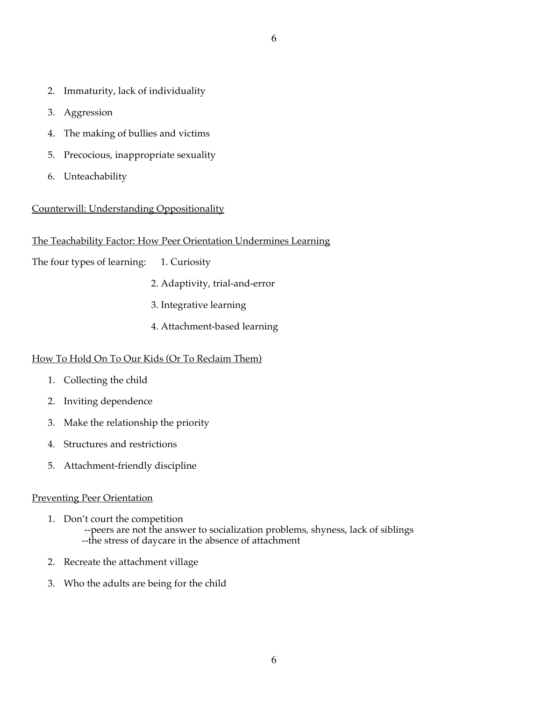- 2. Immaturity, lack of individuality
- 3. Aggression
- 4. The making of bullies and victims
- 5. Precocious, inappropriate sexuality
- 6. Unteachability

### Counterwill: Understanding Oppositionality

#### The Teachability Factor: How Peer Orientation Undermines Learning

- The four types of learning: 1. Curiosity
	- 2. Adaptivity, trial-and-error
	- 3. Integrative learning
	- 4. Attachment-based learning

### How To Hold On To Our Kids (Or To Reclaim Them)

- 1. Collecting the child
- 2. Inviting dependence
- 3. Make the relationship the priority
- 4. Structures and restrictions
- 5. Attachment-friendly discipline

#### Preventing Peer Orientation

- 1. Don't court the competition --peers are not the answer to socialization problems, shyness, lack of siblings --the stress of daycare in the absence of attachment
- 2. Recreate the attachment village
- 3. Who the adults are being for the child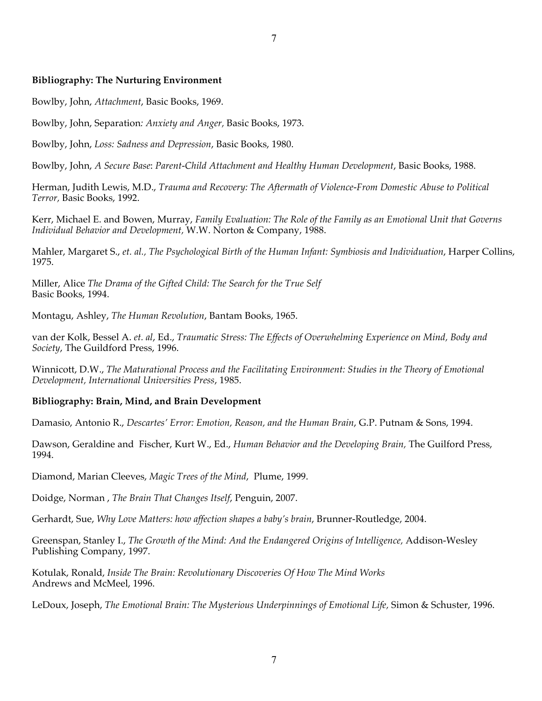### **Bibliography: The Nurturing Environment**

Bowlby, John, *Attachment*, Basic Books, 1969.

Bowlby, John, Separation*: Anxiety and Anger,* Basic Books, 1973.

Bowlby, John, *Loss: Sadness and Depression*, Basic Books, 1980.

Bowlby, John, *A Secure Base*: *Parent-Child Attachment and Healthy Human Development*, Basic Books, 1988.

Herman, Judith Lewis, M.D., *Trauma and Recovery: The Aftermath of Violence-From Domestic Abuse to Political Terror,* Basic Books, 1992.

Kerr, Michael E. and Bowen, Murray, *Family Evaluation: The Role of the Family as an Emotional Unit that Governs Individual Behavior and Development,* W.W. Norton & Company, 1988.

Mahler, Margaret S., *et. al., The Psychological Birth of the Human Infant: Symbiosis and Individuation*, Harper Collins, 1975.

Miller, Alice *The Drama of the Gifted Child: The Search for the True Self* Basic Books, 1994.

Montagu, Ashley, *The Human Revolution*, Bantam Books, 1965.

van der Kolk, Bessel A. *et. al*, Ed., *Traumatic Stress: The Effects of Overwhelming Experience on Mind, Body and Society*, The Guildford Press, 1996.

Winnicott, D.W., *The Maturational Process and the Facilitating Environment: Studies in the Theory of Emotional Development, International Universities Press*, 1985.

### **Bibliography: Brain, Mind, and Brain Development**

Damasio, Antonio R., *Descartes' Error: Emotion, Reason, and the Human Brain*, G.P. Putnam & Sons, 1994.

Dawson, Geraldine and Fischer, Kurt W., Ed., *Human Behavior and the Developing Brain,* The Guilford Press, 1994.

Diamond, Marian Cleeves, *Magic Trees of the Mind*, Plume, 1999.

Doidge, Norman , *The Brain That Changes Itself*, Penguin, 2007.

Gerhardt, Sue, *Why Love Matters: how affection shapes a baby's brain*, Brunner-Routledge, 2004.

Greenspan, Stanley I., *The Growth of the Mind: And the Endangered Origins of Intelligence,* Addison-Wesley Publishing Company, 1997.

Kotulak, Ronald, *Inside The Brain: Revolutionary Discoveries Of How The Mind Works* Andrews and McMeel, 1996.

LeDoux, Joseph, *The Emotional Brain: The Mysterious Underpinnings of Emotional Life,* Simon & Schuster, 1996.